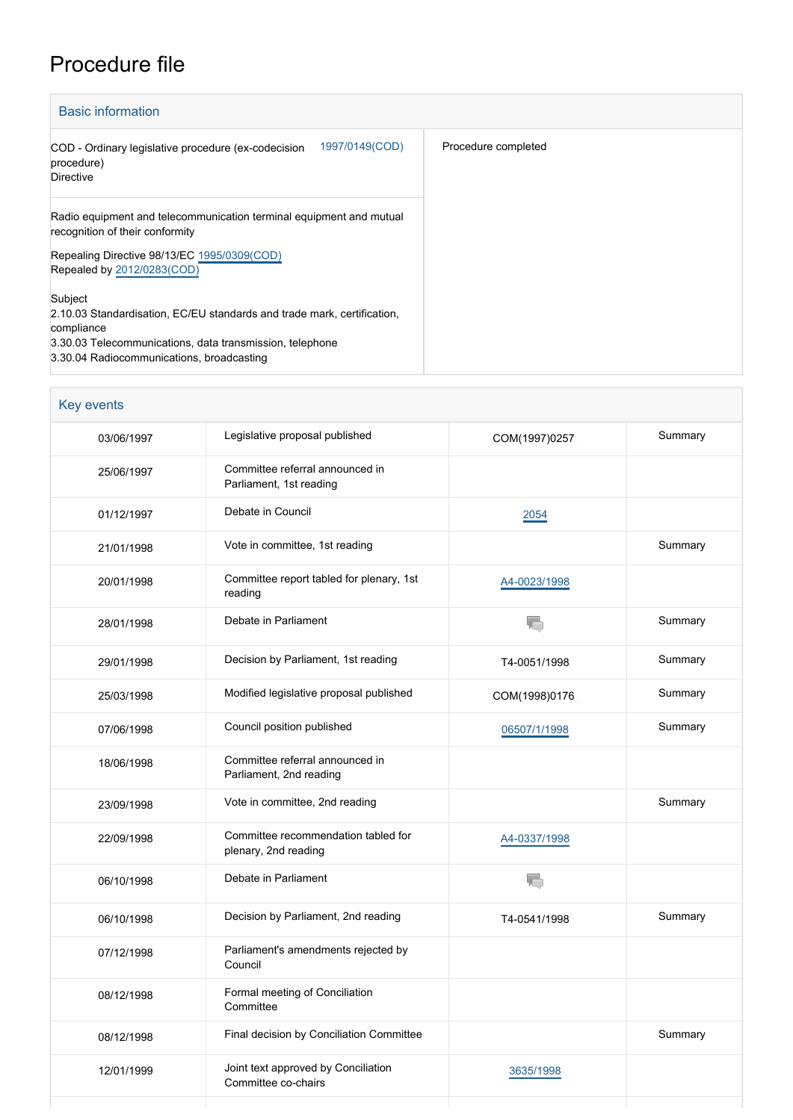## Procedure file

| <b>Basic information</b>                                                                                                                                                                                  |                     |  |  |
|-----------------------------------------------------------------------------------------------------------------------------------------------------------------------------------------------------------|---------------------|--|--|
| 1997/0149(COD)<br>COD - Ordinary legislative procedure (ex-codecision<br>procedure)<br><b>Directive</b>                                                                                                   | Procedure completed |  |  |
| Radio equipment and telecommunication terminal equipment and mutual<br>recognition of their conformity                                                                                                    |                     |  |  |
| Repealing Directive 98/13/EC 1995/0309(COD)<br>Repealed by 2012/0283(COD)                                                                                                                                 |                     |  |  |
| Subject<br>2.10.03 Standardisation, EC/EU standards and trade mark, certification,<br>compliance<br>3.30.03 Telecommunications, data transmission, telephone<br>3.30.04 Radiocommunications, broadcasting |                     |  |  |

| Key events |                                                             |               |         |  |
|------------|-------------------------------------------------------------|---------------|---------|--|
| 03/06/1997 | Legislative proposal published                              | COM(1997)0257 | Summary |  |
| 25/06/1997 | Committee referral announced in<br>Parliament, 1st reading  |               |         |  |
| 01/12/1997 | Debate in Council                                           | 2054          |         |  |
| 21/01/1998 | Vote in committee, 1st reading                              |               | Summary |  |
| 20/01/1998 | Committee report tabled for plenary, 1st<br>reading         | A4-0023/1998  |         |  |
| 28/01/1998 | Debate in Parliament                                        | 焉             | Summary |  |
| 29/01/1998 | Decision by Parliament, 1st reading                         | T4-0051/1998  | Summary |  |
| 25/03/1998 | Modified legislative proposal published                     | COM(1998)0176 | Summary |  |
| 07/06/1998 | Council position published                                  | 06507/1/1998  | Summary |  |
| 18/06/1998 | Committee referral announced in<br>Parliament, 2nd reading  |               |         |  |
| 23/09/1998 | Vote in committee, 2nd reading                              |               | Summary |  |
| 22/09/1998 | Committee recommendation tabled for<br>plenary, 2nd reading | A4-0337/1998  |         |  |
| 06/10/1998 | Debate in Parliament                                        |               |         |  |
| 06/10/1998 | Decision by Parliament, 2nd reading                         | T4-0541/1998  | Summary |  |
| 07/12/1998 | Parliament's amendments rejected by<br>Council              |               |         |  |
| 08/12/1998 | Formal meeting of Conciliation<br>Committee                 |               |         |  |
| 08/12/1998 | Final decision by Conciliation Committee                    |               | Summary |  |
| 12/01/1999 | Joint text approved by Conciliation<br>Committee co-chairs  | 3635/1998     |         |  |